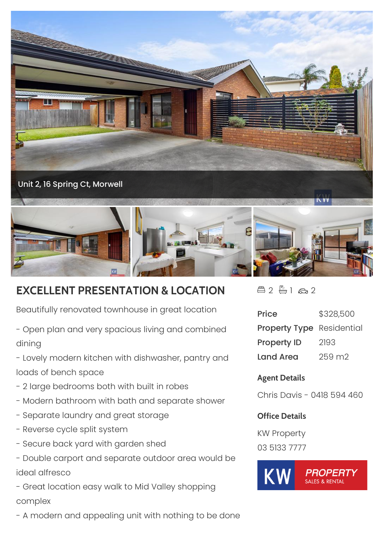

## **EXCELLENT PRESENTATION & LOCATION**

Beautifully renovated townhouse in great location

- Open plan and very spacious living and combined dining

- Lovely modern kitchen with dishwasher, pantry and loads of bench space

- 2 large bedrooms both with built in robes
- Modern bathroom with bath and separate shower
- Separate laundry and great storage
- Reverse cycle split system
- Secure back yard with garden shed
- Double carport and separate outdoor area would be ideal alfresco

- Great location easy walk to Mid Valley shopping complex

- A modern and appealing unit with nothing to be done

 $42 - 162$ 

| <b>Price</b>                     | \$328,500 |
|----------------------------------|-----------|
| <b>Property Type</b> Residential |           |
| <b>Property ID</b>               | 2193      |
| Land Area                        | 259 m2    |

## **Agent Details**

Chris Davis - 0418 594 460

## **Office Details**

KW Property 03 5133 7777